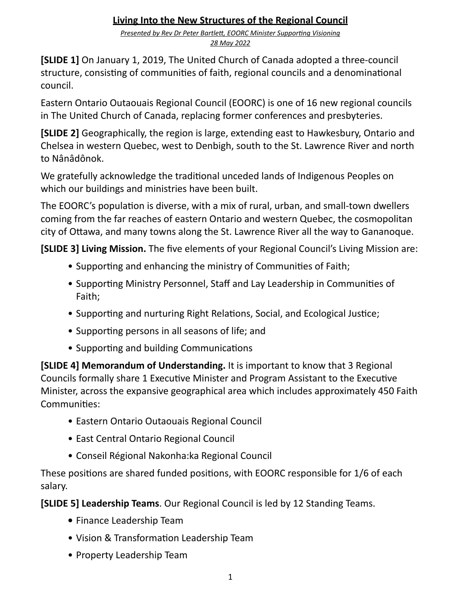#### **Living Into the New Structures of the Regional Council**

**Presented by Rev Dr Peter Bartlett, EOORC Minister Supporting Visioning** *28 May 2022*

**[SLIDE 1]** On January 1, 2019, The United Church of Canada adopted a three-council structure, consisting of communities of faith, regional councils and a denominational council. 

Eastern Ontario Outaouais Regional Council (EOORC) is one of 16 new regional councils in The United Church of Canada, replacing former conferences and presbyteries.

**[SLIDE 2]** Geographically, the region is large, extending east to Hawkesbury, Ontario and Chelsea in western Quebec, west to Denbigh, south to the St. Lawrence River and north to Nânâdônok. 

We gratefully acknowledge the traditional unceded lands of Indigenous Peoples on which our buildings and ministries have been built.

The EOORC's population is diverse, with a mix of rural, urban, and small-town dwellers coming from the far reaches of eastern Ontario and western Quebec, the cosmopolitan city of Ottawa, and many towns along the St. Lawrence River all the way to Gananoque.

**[SLIDE 3] Living Mission.** The five elements of your Regional Council's Living Mission are:

- Supporting and enhancing the ministry of Communities of Faith;
- Supporting Ministry Personnel, Staff and Lay Leadership in Communities of Faith;
- Supporting and nurturing Right Relations, Social, and Ecological Justice;
- Supporting persons in all seasons of life; and
- Supporting and building Communications

**[SLIDE 4] Memorandum of Understanding.** It is important to know that 3 Regional Councils formally share 1 Executive Minister and Program Assistant to the Executive Minister, across the expansive geographical area which includes approximately 450 Faith Communities:

- Eastern Ontario Outaouais Regional Council
- East Central Ontario Regional Council
- Conseil Régional Nakonha:ka Regional Council

These positions are shared funded positions, with EOORC responsible for 1/6 of each salary. 

**[SLIDE 5] Leadership Teams**. Our Regional Council is led by 12 Standing Teams.

- **•** Finance Leadership Team
- Vision & Transformation Leadership Team
- Property Leadership Team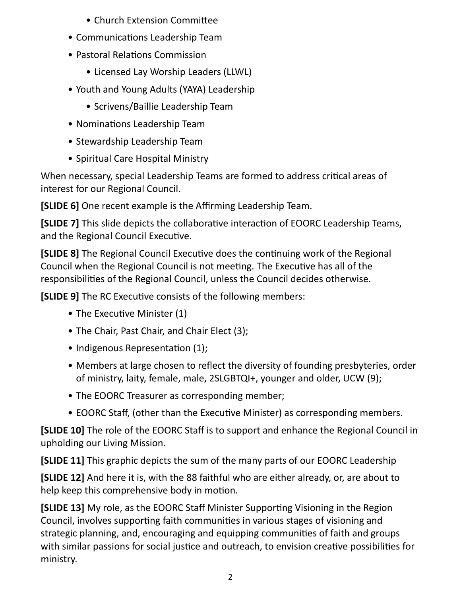- Church Extension Committee
- Communications Leadership Team
- Pastoral Relations Commission
	- Licensed Lay Worship Leaders (LLWL)
- Youth and Young Adults (YAYA) Leadership
	- Scrivens/Baillie Leadership Team
- Nominations Leadership Team
- Stewardship Leadership Team
- Spiritual Care Hospital Ministry

When necessary, special Leadership Teams are formed to address critical areas of interest for our Regional Council.

**[SLIDE 6]** One recent example is the Affirming Leadership Team.

**[SLIDE 7]** This slide depicts the collaborative interaction of EOORC Leadership Teams, and the Regional Council Executive.

**[SLIDE 8]** The Regional Council Executive does the continuing work of the Regional Council when the Regional Council is not meeting. The Executive has all of the responsibilities of the Regional Council, unless the Council decides otherwise.

**[SLIDE 9]** The RC Executive consists of the following members:

- The Executive Minister (1)
- The Chair, Past Chair, and Chair Elect (3);
- Indigenous Representation  $(1)$ ;
- Members at large chosen to reflect the diversity of founding presbyteries, order of ministry, laity, female, male, 2SLGBTQI+, younger and older, UCW (9);
- The EOORC Treasurer as corresponding member;
- EOORC Staff, (other than the Executive Minister) as corresponding members.

**[SLIDE 10]** The role of the EOORC Staff is to support and enhance the Regional Council in upholding our Living Mission.

**[SLIDE 11]** This graphic depicts the sum of the many parts of our EOORC Leadership

**[SLIDE 12]** And here it is, with the 88 faithful who are either already, or, are about to help keep this comprehensive body in motion.

**[SLIDE 13]** My role, as the EOORC Staff Minister Supporting Visioning in the Region Council, involves supporting faith communities in various stages of visioning and strategic planning, and, encouraging and equipping communities of faith and groups with similar passions for social justice and outreach, to envision creative possibilities for ministry.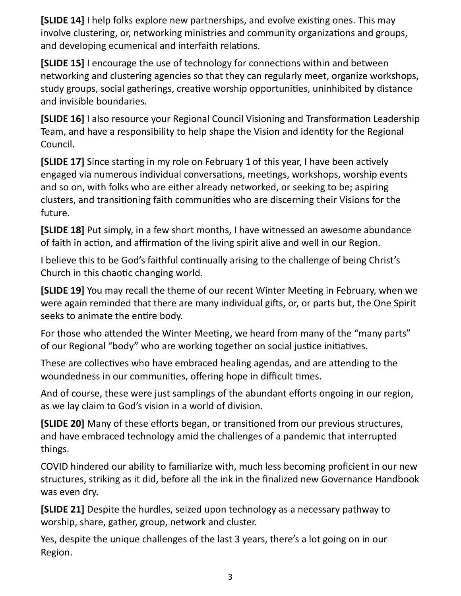**[SLIDE 14]** I help folks explore new partnerships, and evolve existing ones. This may involve clustering, or, networking ministries and community organizations and groups, and developing ecumenical and interfaith relations.

**[SLIDE 15]** I encourage the use of technology for connections within and between networking and clustering agencies so that they can regularly meet, organize workshops, study groups, social gatherings, creative worship opportunities, uninhibited by distance and invisible boundaries.

**[SLIDE 16]** I also resource your Regional Council Visioning and Transformation Leadership Team, and have a responsibility to help shape the Vision and identity for the Regional Council. 

**[SLIDE 17]** Since starting in my role on February 1 of this year, I have been actively engaged via numerous individual conversations, meetings, workshops, worship events and so on, with folks who are either already networked, or seeking to be; aspiring clusters, and transitioning faith communities who are discerning their Visions for the future. 

**[SLIDE 18]** Put simply, in a few short months, I have witnessed an awesome abundance of faith in action, and affirmation of the living spirit alive and well in our Region.

I believe this to be God's faithful continually arising to the challenge of being Christ's Church in this chaotic changing world.

**[SLIDE 19]** You may recall the theme of our recent Winter Meeting in February, when we were again reminded that there are many individual gifts, or, or parts but, the One Spirit seeks to animate the entire body.

For those who attended the Winter Meeting, we heard from many of the "many parts" of our Regional "body" who are working together on social justice initiatives.

These are collectives who have embraced healing agendas, and are attending to the woundedness in our communities, offering hope in difficult times.

And of course, these were just samplings of the abundant efforts ongoing in our region, as we lay claim to God's vision in a world of division.

**[SLIDE 20]** Many of these efforts began, or transitioned from our previous structures, and have embraced technology amid the challenges of a pandemic that interrupted things. 

COVID hindered our ability to familiarize with, much less becoming proficient in our new structures, striking as it did, before all the ink in the finalized new Governance Handbook was even dry.

**[SLIDE 21]** Despite the hurdles, seized upon technology as a necessary pathway to worship, share, gather, group, network and cluster.

Yes, despite the unique challenges of the last 3 years, there's a lot going on in our Region.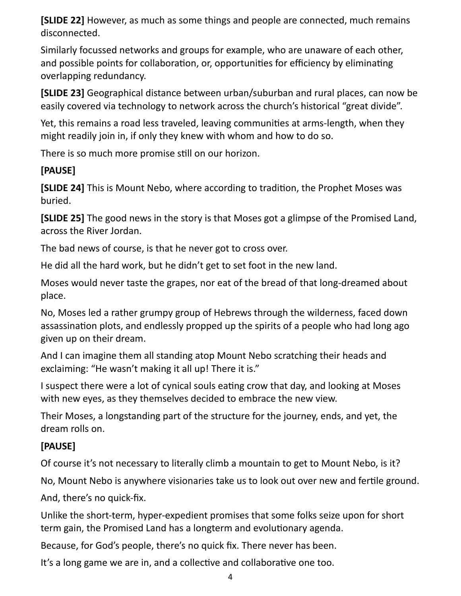**[SLIDE 22]** However, as much as some things and people are connected, much remains disconnected. 

Similarly focussed networks and groups for example, who are unaware of each other, and possible points for collaboration, or, opportunities for efficiency by eliminating overlapping redundancy.

**[SLIDE 23]** Geographical distance between urban/suburban and rural places, can now be easily covered via technology to network across the church's historical "great divide".

Yet, this remains a road less traveled, leaving communities at arms-length, when they might readily join in, if only they knew with whom and how to do so.

There is so much more promise still on our horizon.

### **[PAUSE]**

**[SLIDE 24]** This is Mount Nebo, where according to tradition, the Prophet Moses was buried. 

**[SLIDE 25]** The good news in the story is that Moses got a glimpse of the Promised Land, across the River Jordan.

The bad news of course, is that he never got to cross over.

He did all the hard work, but he didn't get to set foot in the new land.

Moses would never taste the grapes, nor eat of the bread of that long-dreamed about place. 

No, Moses led a rather grumpy group of Hebrews through the wilderness, faced down assassination plots, and endlessly propped up the spirits of a people who had long ago given up on their dream.

And I can imagine them all standing atop Mount Nebo scratching their heads and exclaiming: "He wasn't making it all up! There it is."

I suspect there were a lot of cynical souls eating crow that day, and looking at Moses with new eyes, as they themselves decided to embrace the new view.

Their Moses, a longstanding part of the structure for the journey, ends, and yet, the dream rolls on. 

### **[PAUSE]**

Of course it's not necessary to literally climb a mountain to get to Mount Nebo, is it?

No, Mount Nebo is anywhere visionaries take us to look out over new and fertile ground.

And, there's no quick-fix.

Unlike the short-term, hyper-expedient promises that some folks seize upon for short term gain, the Promised Land has a longterm and evolutionary agenda.

Because, for God's people, there's no quick fix. There never has been.

It's a long game we are in, and a collective and collaborative one too.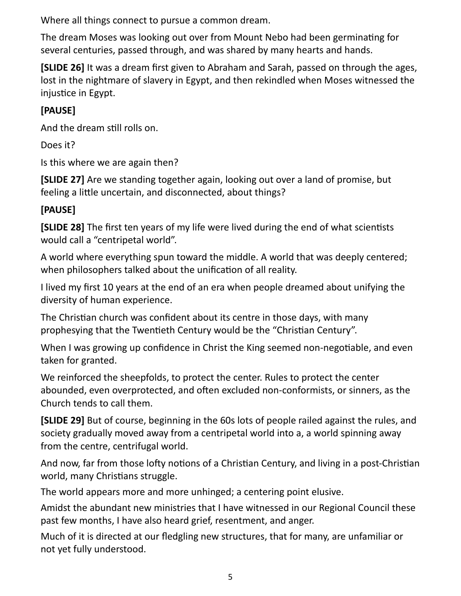Where all things connect to pursue a common dream.

The dream Moses was looking out over from Mount Nebo had been germinating for several centuries, passed through, and was shared by many hearts and hands.

**[SLIDE 26]** It was a dream first given to Abraham and Sarah, passed on through the ages, lost in the nightmare of slavery in Egypt, and then rekindled when Moses witnessed the injustice in Egypt.

## **[PAUSE]**

And the dream still rolls on.

Does it?

Is this where we are again then?

**[SLIDE 27]** Are we standing together again, looking out over a land of promise, but feeling a little uncertain, and disconnected, about things?

## **[PAUSE]**

**[SLIDE 28]** The first ten years of my life were lived during the end of what scientists would call a "centripetal world".

A world where everything spun toward the middle. A world that was deeply centered; when philosophers talked about the unification of all reality.

I lived my first 10 years at the end of an era when people dreamed about unifying the diversity of human experience.

The Christian church was confident about its centre in those days, with many prophesying that the Twentieth Century would be the "Christian Century".

When I was growing up confidence in Christ the King seemed non-negotiable, and even taken for granted.

We reinforced the sheepfolds, to protect the center. Rules to protect the center abounded, even overprotected, and often excluded non-conformists, or sinners, as the Church tends to call them.

**[SLIDE 29]** But of course, beginning in the 60s lots of people railed against the rules, and society gradually moved away from a centripetal world into a, a world spinning away from the centre, centrifugal world.

And now, far from those lofty notions of a Christian Century, and living in a post-Christian world, many Christians struggle.

The world appears more and more unhinged; a centering point elusive.

Amidst the abundant new ministries that I have witnessed in our Regional Council these past few months, I have also heard grief, resentment, and anger.

Much of it is directed at our fledgling new structures, that for many, are unfamiliar or not yet fully understood.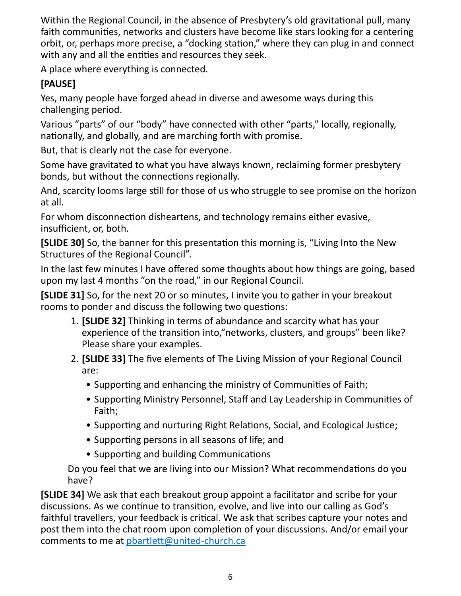Within the Regional Council, in the absence of Presbytery's old gravitational pull, many faith communities, networks and clusters have become like stars looking for a centering orbit, or, perhaps more precise, a "docking station," where they can plug in and connect with any and all the entities and resources they seek.

A place where everything is connected.

# **[PAUSE]**

Yes, many people have forged ahead in diverse and awesome ways during this challenging period.

Various "parts" of our "body" have connected with other "parts," locally, regionally, nationally, and globally, and are marching forth with promise.

But, that is clearly not the case for everyone.

Some have gravitated to what you have always known, reclaiming former presbytery bonds, but without the connections regionally.

And, scarcity looms large still for those of us who struggle to see promise on the horizon at all.

For whom disconnection disheartens, and technology remains either evasive, insufficient, or, both.

**[SLIDE 30]** So, the banner for this presentation this morning is, "Living Into the New Structures of the Regional Council".

In the last few minutes I have offered some thoughts about how things are going, based upon my last 4 months "on the road," in our Regional Council.

**[SLIDE 31]** So, for the next 20 or so minutes, I invite you to gather in your breakout rooms to ponder and discuss the following two questions:

- 1. **[SLIDE 32]** Thinking in terms of abundance and scarcity what has your experience of the transition into, "networks, clusters, and groups" been like? Please share your examples.
- 2. **[SLIDE 33]** The five elements of The Living Mission of your Regional Council are:
	- Supporting and enhancing the ministry of Communities of Faith;
	- Supporting Ministry Personnel, Staff and Lay Leadership in Communities of Faith;
	- Supporting and nurturing Right Relations, Social, and Ecological Justice;
	- Supporting persons in all seasons of life; and
	- Supporting and building Communications

Do you feel that we are living into our Mission? What recommendations do you have? 

**[SLIDE 34]** We ask that each breakout group appoint a facilitator and scribe for your discussions. As we continue to transition, evolve, and live into our calling as God's faithful travellers, your feedback is critical. We ask that scribes capture your notes and post them into the chat room upon completion of your discussions. And/or email your comments to me at pbartlett@united-church.ca